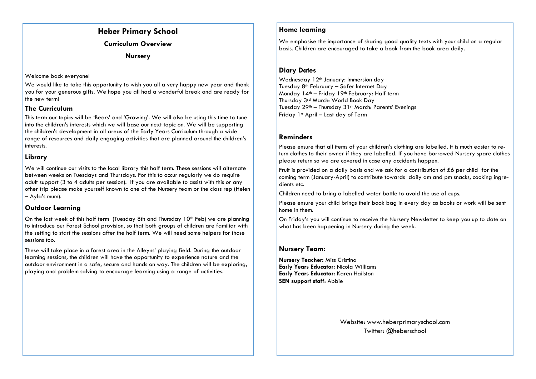# **Heber Primary School**

**Curriculum Overview**

**Nursery**

#### Welcome back everyone!

We would like to take this opportunity to wish you all a very happy new year and thank you for your generous gifts. We hope you all had a wonderful break and are ready for the new term!

## **The Curriculum**

This term our topics will be 'Bears' and 'Growing'. We will also be using this time to tune into the children's interests which we will base our next topic on. We will be supporting the children's development in all areas of the Early Years Curriculum through a wide range of resources and daily engaging activities that are planned around the children's interests.

# **Library**

We will continue our visits to the local library this half term. These sessions will alternate between weeks on Tuesdays and Thursdays. For this to occur regularly we do require adult support (3 to 4 adults per session). If you are available to assist with this or any other trip please make yourself known to one of the Nursery team or the class rep (Helen – Ayla's mum).

# **Outdoor Learning**

On the last week of this half term (Tuesday 8th and Thursday  $10<sup>th</sup>$  Feb) we are planning to introduce our Forest School provision, so that both groups of children are familiar with the setting to start the sessions after the half term. We will need some helpers for those sessions too.

These will take place in a forest area in the Alleyns' playing field. During the outdoor learning sessions, the children will have the opportunity to experience nature and the outdoor environment in a safe, secure and hands on way. The children will be exploring, playing and problem solving to encourage learning using a range of activities.

# **Home learning**

We emphasise the importance of sharing good quality texts with your child on a regular basis. Children are encouraged to take a book from the book area daily.

#### **Diary Dates**

Wednesday 12<sup>th</sup> January: Immersion day Tuesday 8th February – Safer Internet Day Monday 14<sup>th</sup> – Friday 19<sup>th</sup> February: Half term Thursday 3rd March: World Book Day Tuesday 29<sup>th</sup> – Thursday 31<sup>st</sup> March: Parents' Evenings Friday 1st April – Last day of Term

# **Reminders**

Please ensure that all items of your children's clothing are labelled. It is much easier to return clothes to their owner if they are labelled. If you have borrowed Nursery spare clothes please return so we are covered in case any accidents happen.

Fruit is provided on a daily basis and we ask for a contribution of £6 per child for the coming term (January-April) to contribute towards daily am and pm snacks, cooking ingredients etc.

Children need to bring a labelled water bottle to avoid the use of cups.

Please ensure your child brings their book bag in every day as books or work will be sent home in them.

On Friday's you will continue to receive the Nursery Newsletter to keep you up to date on what has been happening in Nursery during the week.

# **Nursery Team:**

**Nursery Teacher:** Miss Cristina **Early Years Educator:** Nicola Williams **Early Years Educator:** Karen Hailston **SEN support staff**: Abbie

> Website: www.heberprimaryschool.com Twitter: @heberschool